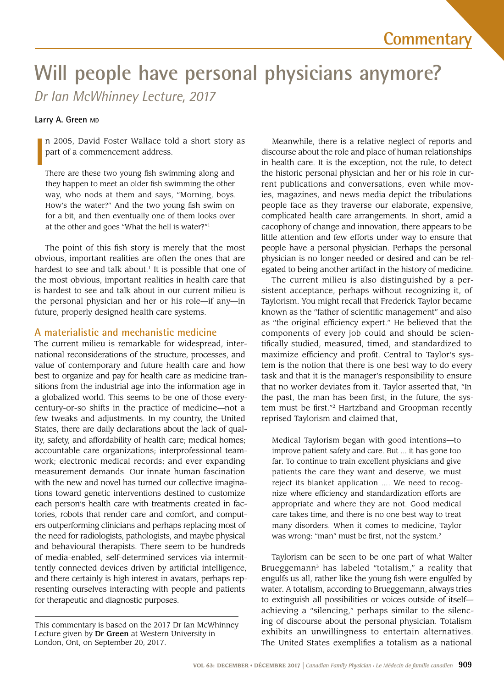# **Will people have personal physicians anymore?**

*Dr Ian McWhinney Lecture, 2017* 

#### **Larry A. Green MD**

**I** n 2005, David Foster Wallace told a short story as part of a commencement address.

There are these two young fsh swimming along and they happen to meet an older fish swimming the other way, who nods at them and says, "Morning, boys. How's the water?" And the two young fish swim on for a bit, and then eventually one of them looks over at the other and goes "What the hell is water?"1

The point of this fish story is merely that the most obvious, important realities are often the ones that are hardest to see and talk about.<sup>1</sup> It is possible that one of the most obvious, important realities in health care that is hardest to see and talk about in our current milieu is the personal physician and her or his role—if any—in future, properly designed health care systems.

## **A materialistic and mechanistic medicine**

 resenting ourselves interacting with people and patients The current milieu is remarkable for widespread, international reconsiderations of the structure, processes, and value of contemporary and future health care and how best to organize and pay for health care as medicine transitions from the industrial age into the information age in a globalized world. This seems to be one of those everycentury-or-so shifts in the practice of medicine—not a few tweaks and adjustments. In my country, the United States, there are daily declarations about the lack of quality, safety, and affordability of health care; medical homes; accountable care organizations; interprofessional teamwork; electronic medical records; and ever expanding measurement demands. Our innate human fascination with the new and novel has turned our collective imaginations toward genetic interventions destined to customize each person's health care with treatments created in factories, robots that render care and comfort, and computers outperforming clinicians and perhaps replacing most of the need for radiologists, pathologists, and maybe physical and behavioural therapists. There seem to be hundreds of media-enabled, self-determined services via intermittently connected devices driven by artifcial intelligence, and there certainly is high interest in avatars, perhaps repfor therapeutic and diagnostic purposes.

Meanwhile, there is a relative neglect of reports and discourse about the role and place of human relationships in health care. It is the exception, not the rule, to detect the historic personal physician and her or his role in current publications and conversations, even while movies, magazines, and news media depict the tribulations people face as they traverse our elaborate, expensive, complicated health care arrangements. In short, amid a cacophony of change and innovation, there appears to be little attention and few efforts under way to ensure that people have a personal physician. Perhaps the personal physician is no longer needed or desired and can be relegated to being another artifact in the history of medicine.

 components of every job could and should be scien-The current milieu is also distinguished by a persistent acceptance, perhaps without recognizing it, of Taylorism. You might recall that Frederick Taylor became known as the "father of scientifc management" and also as "the original efficiency expert." He believed that the tifcally studied, measured, timed, and standardized to maximize effciency and proft. Central to Taylor's system is the notion that there is one best way to do every task and that it is the manager's responsibility to ensure that no worker deviates from it. Taylor asserted that, "In the past, the man has been frst; in the future, the system must be first."<sup>2</sup> Hartzband and Groopman recently reprised Taylorism and claimed that,

Medical Taylorism began with good intentions—to improve patient safety and care. But ... it has gone too far. To continue to train excellent physicians and give patients the care they want and deserve, we must reject its blanket application .... We need to recognize where effciency and standardization efforts are appropriate and where they are not. Good medical care takes time, and there is no one best way to treat many disorders. When it comes to medicine, Taylor was wrong: "man" must be first, not the system.<sup>2</sup>

 to extinguish all possibilities or voices outside of itself— achieving a "silencing," perhaps similar to the silenc-Taylorism can be seen to be one part of what Walter Brueggemann3 has labeled "totalism," a reality that engulfs us all, rather like the young fsh were engulfed by water. A totalism, according to Brueggemann, always tries ing of discourse about the personal physician. Totalism exhibits an unwillingness to entertain alternatives. The United States exemplifes a totalism as a national

This commentary is based on the 2017 Dr Ian McWhinney Lecture given by Dr Green at Western University in London, Ont, on September 20, 2017.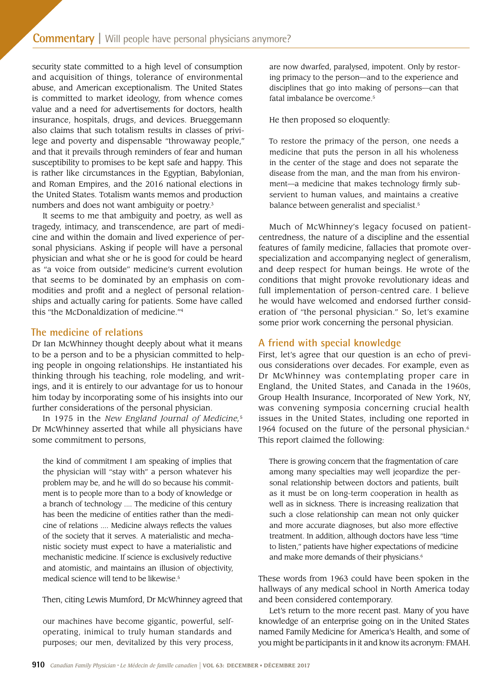security state committed to a high level of consumption and acquisition of things, tolerance of environmental abuse, and American exceptionalism. The United States is committed to market ideology, from whence comes value and a need for advertisements for doctors, health insurance, hospitals, drugs, and devices. Brueggemann also claims that such totalism results in classes of privilege and poverty and dispensable "throwaway people," and that it prevails through reminders of fear and human susceptibility to promises to be kept safe and happy. This is rather like circumstances in the Egyptian, Babylonian, and Roman Empires, and the 2016 national elections in the United States. Totalism wants memos and production numbers and does not want ambiguity or poetry.<sup>3</sup>

It seems to me that ambiguity and poetry, as well as tragedy, intimacy, and transcendence, are part of medicine and within the domain and lived experience of personal physicians. Asking if people will have a personal physician and what she or he is good for could be heard as "a voice from outside" medicine's current evolution that seems to be dominated by an emphasis on commodities and proft and a neglect of personal relationships and actually caring for patients. Some have called this "the McDonaldization of medicine."4

## **The medicine of relations**

Dr Ian McWhinney thought deeply about what it means to be a person and to be a physician committed to helping people in ongoing relationships. He instantiated his thinking through his teaching, role modeling, and writings, and it is entirely to our advantage for us to honour him today by incorporating some of his insights into our further considerations of the personal physician.

 In 1975 in the *New England Journal of Medicine,*<sup>5</sup> Dr McWhinney asserted that while all physicians have some commitment to persons,

the kind of commitment I am speaking of implies that the physician will "stay with" a person whatever his problem may be, and he will do so because his commitment is to people more than to a body of knowledge or a branch of technology .... The medicine of this century has been the medicine of entities rather than the medicine of relations .... Medicine always refects the values of the society that it serves. A materialistic and mechanistic society must expect to have a materialistic and mechanistic medicine. If science is exclusively reductive and atomistic, and maintains an illusion of objectivity, medical science will tend to be likewise.5

## Then, citing Lewis Mumford, Dr McWhinney agreed that

 purposes; our men, devitalized by this very process, our machines have become gigantic, powerful, selfoperating, inimical to truly human standards and

are now dwarfed, paralysed, impotent. Only by restoring primacy to the person—and to the experience and disciplines that go into making of persons—can that fatal imbalance be overcome.<sup>5</sup>

He then proposed so eloquently:

 ment—a medicine that makes technology frmly sub-To restore the primacy of the person, one needs a medicine that puts the person in all his wholeness in the center of the stage and does not separate the disease from the man, and the man from his environservient to human values, and maintains a creative balance between generalist and specialist.<sup>5</sup>

Much of McWhinney's legacy focused on patientcentredness, the nature of a discipline and the essential features of family medicine, fallacies that promote overspecialization and accompanying neglect of generalism, and deep respect for human beings. He wrote of the conditions that might provoke revolutionary ideas and full implementation of person-centred care. I believe he would have welcomed and endorsed further consideration of "the personal physician." So, let's examine some prior work concerning the personal physician.

# **A friend with special knowledge**

 First, let's agree that our question is an echo of previous considerations over decades. For example, even as Dr McWhinney was contemplating proper care in England, the United States, and Canada in the 1960s, Group Health Insurance, Incorporated of New York, NY, was convening symposia concerning crucial health issues in the United States, including one reported in 1964 focused on the future of the personal physician.<sup>6</sup> This report claimed the following:

 as it must be on long-term cooperation in health as There is growing concern that the fragmentation of care among many specialties may well jeopardize the personal relationship between doctors and patients, built well as in sickness. There is increasing realization that such a close relationship can mean not only quicker and more accurate diagnoses, but also more effective treatment. In addition, although doctors have less "time to listen," patients have higher expectations of medicine and make more demands of their physicians.<sup>6</sup>

These words from 1963 could have been spoken in the hallways of any medical school in North America today and been considered contemporary.

Let's return to the more recent past. Many of you have knowledge of an enterprise going on in the United States named Family Medicine for America's Health, and some of you might be participants in it and know its acronym: FMAH.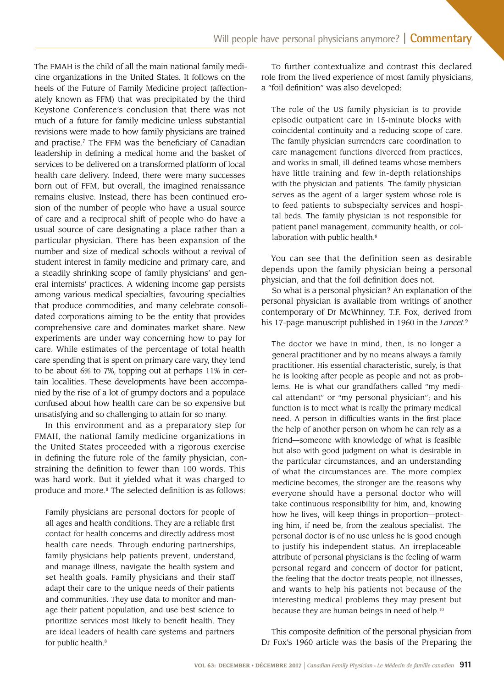The FMAH is the child of all the main national family medicine organizations in the United States. It follows on the heels of the Future of Family Medicine project (affectionately known as FFM) that was precipitated by the third Keystone Conference's conclusion that there was not much of a future for family medicine unless substantial revisions were made to how family physicians are trained and practise.7 The FFM was the beneficiary of Canadian leadership in defning a medical home and the basket of services to be delivered on a transformed platform of local health care delivery. Indeed, there were many successes born out of FFM, but overall, the imagined renaissance remains elusive. Instead, there has been continued erosion of the number of people who have a usual source of care and a reciprocal shift of people who do have a usual source of care designating a place rather than a particular physician. There has been expansion of the number and size of medical schools without a revival of student interest in family medicine and primary care, and a steadily shrinking scope of family physicians' and general internists' practices. A widening income gap persists among various medical specialties, favouring specialties that produce commodities, and many celebrate consolidated corporations aiming to be the entity that provides comprehensive care and dominates market share. New experiments are under way concerning how to pay for care. While estimates of the percentage of total health care spending that is spent on primary care vary, they tend to be about 6% to 7%, topping out at perhaps 11% in certain localities. These developments have been accompanied by the rise of a lot of grumpy doctors and a populace confused about how health care can be so expensive but unsatisfying and so challenging to attain for so many.

In this environment and as a preparatory step for FMAH, the national family medicine organizations in the United States proceeded with a rigorous exercise in defning the future role of the family physician, constraining the defnition to fewer than 100 words. This was hard work. But it yielded what it was charged to produce and more.<sup>8</sup> The selected definition is as follows:

 health care needs. Through enduring partnerships, Family physicians are personal doctors for people of all ages and health conditions. They are a reliable frst contact for health concerns and directly address most family physicians help patients prevent, understand, and manage illness, navigate the health system and set health goals. Family physicians and their staff adapt their care to the unique needs of their patients and communities. They use data to monitor and manage their patient population, and use best science to prioritize services most likely to beneft health. They are ideal leaders of health care systems and partners for public health.<sup>8</sup>

To further contextualize and contrast this declared role from the lived experience of most family physicians, a "foil defnition" was also developed:

The role of the US family physician is to provide episodic outpatient care in 15-minute blocks with coincidental continuity and a reducing scope of care. The family physician surrenders care coordination to care management functions divorced from practices, and works in small, ill-defned teams whose members have little training and few in-depth relationships with the physician and patients. The family physician serves as the agent of a larger system whose role is to feed patients to subspecialty services and hospital beds. The family physician is not responsible for patient panel management, community health, or collaboration with public health.<sup>8</sup>

You can see that the definition seen as desirable depends upon the family physician being a personal physician, and that the foil defnition does not.

So what is a personal physician? An explanation of the personal physician is available from writings of another contemporary of Dr McWhinney, T.F. Fox, derived from his 17-page manuscript published in 1960 in the *Lancet.*<sup>9</sup>

The doctor we have in mind, then, is no longer a general practitioner and by no means always a family practitioner. His essential characteristic, surely, is that he is looking after people as people and not as problems. He is what our grandfathers called "my medical attendant" or "my personal physician"; and his function is to meet what is really the primary medical need. A person in diffculties wants in the frst place the help of another person on whom he can rely as a friend—someone with knowledge of what is feasible but also with good judgment on what is desirable in the particular circumstances, and an understanding of what the circumstances are. The more complex medicine becomes, the stronger are the reasons why everyone should have a personal doctor who will take continuous responsibility for him, and, knowing how he lives, will keep things in proportion—protecting him, if need be, from the zealous specialist. The personal doctor is of no use unless he is good enough to justify his independent status. An irreplaceable attribute of personal physicians is the feeling of warm personal regard and concern of doctor for patient, the feeling that the doctor treats people, not illnesses, and wants to help his patients not because of the interesting medical problems they may present but because they are human beings in need of help.<sup>10</sup>

This composite defnition of the personal physician from Dr Fox's 1960 article was the basis of the Preparing the